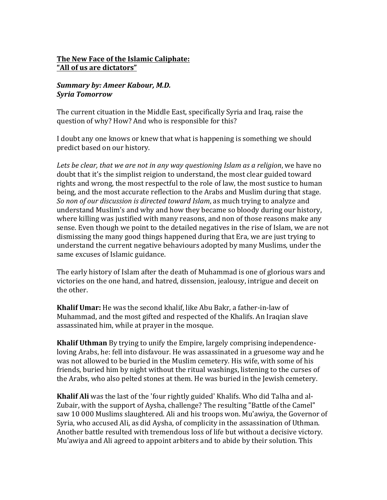## **The New Face of the Islamic Caliphate: "All of us are dictators"**

## **Summary by: Ameer Kabour, M.D.** *Syria Tomorrow*

The current cituation in the Middle East, specifically Syria and Iraq, raise the question of why? How? And who is responsible for this?

I doubt any one knows or knew that what is happening is something we should predict based on our history.

Lets be clear, that we are not in any way questioning Islam as a religion, we have no doubt that it's the simplist reigion to understand, the most clear guided toward rights and wrong, the most respectful to the role of law, the most sustice to human being, and the most accurate reflection to the Arabs and Muslim during that stage. *So non of our discussion is directed toward Islam,* as much trying to analyze and understand Muslim's and why and how they became so bloody during our history, where killing was justified with many reasons, and non of those reasons make any sense. Even though we point to the detailed negatives in the rise of Islam, we are not dismissing the many good things happened during that Era, we are just trying to understand the current negative behaviours adopted by many Muslims, under the same excuses of Islamic guidance.

The early history of Islam after the death of Muhammad is one of glorious wars and victories on the one hand, and hatred, dissension, jealousy, intrigue and deceit on the other.

**Khalif Umar:** He was the second khalif, like Abu Bakr, a father-in-law of Muhammad, and the most gifted and respected of the Khalifs. An Iraqian slave assassinated him, while at prayer in the mosque.

**Khalif Uthman** By trying to unify the Empire, largely comprising independenceloving Arabs, he: fell into disfavour. He was assassinated in a gruesome way and he was not allowed to be buried in the Muslim cemetery. His wife, with some of his friends, buried him by night without the ritual washings, listening to the curses of the Arabs, who also pelted stones at them. He was buried in the Jewish cemetery.

**Khalif Ali** was the last of the 'four rightly guided' Khalifs. Who did Talha and al-Zubair, with the support of Aysha, challenge? The resulting "Battle of the Camel" saw 10 000 Muslims slaughtered. Ali and his troops won. Mu'awiya, the Governor of Syria, who accused Ali, as did Aysha, of complicity in the assassination of Uthman. Another battle resulted with tremendous loss of life but without a decisive victory. Mu'awiya and Ali agreed to appoint arbiters and to abide by their solution. This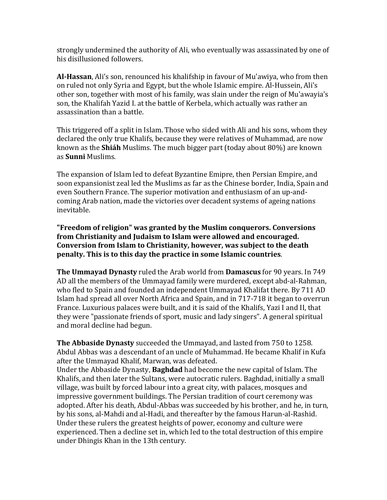strongly undermined the authority of Ali, who eventually was assassinated by one of his disillusioned followers.

**Al-Hassan**, Ali's son, renounced his khalifship in favour of Mu'awiya, who from then on ruled not only Syria and Egypt, but the whole Islamic empire. Al-Hussein, Ali's other son, together with most of his family, was slain under the reign of Mu'awayia's son, the Khalifah Yazid I. at the battle of Kerbela, which actually was rather an assassination than a battle.

This triggered off a split in Islam. Those who sided with Ali and his sons, whom they declared the only true Khalifs, because they were relatives of Muhammad, are now known as the **Shiáh** Muslims. The much bigger part (today about 80%) are known as **Sunni** Muslims.

The expansion of Islam led to defeat Byzantine Emipre, then Persian Empire, and soon expansionist zeal led the Muslims as far as the Chinese border, India, Spain and even Southern France. The superior motivation and enthusiasm of an up-andcoming Arab nation, made the victories over decadent systems of ageing nations inevitable.

**"Freedom of religion" was granted by the Muslim conquerors. Conversions** from Christianity and Judaism to Islam were allowed and encouraged. **Conversion from Islam to Christianity, however, was subject to the death penalty.** This is to this day the practice in some Islamic countries.

**The Ummayad Dynasty** ruled the Arab world from **Damascus** for 90 years. In 749 AD all the members of the Ummayad family were murdered, except abd-al-Rahman, who fled to Spain and founded an independent Ummayad Khalifat there. By 711 AD Islam had spread all over North Africa and Spain, and in 717-718 it began to overrun France. Luxurious palaces were built, and it is said of the Khalifs, Yazi I and II, that they were "passionate friends of sport, music and lady singers". A general spiritual and moral decline had begun.

**The Abbaside Dynasty** succeeded the Ummayad, and lasted from 750 to 1258. Abdul Abbas was a descendant of an uncle of Muhammad. He became Khalif in Kufa after the Ummayad Khalif, Marwan, was defeated.

Under the Abbaside Dynasty, **Baghdad** had become the new capital of Islam. The Khalifs, and then later the Sultans, were autocratic rulers. Baghdad, initially a small village, was built by forced labour into a great city, with palaces, mosques and impressive government buildings. The Persian tradition of court ceremony was adopted. After his death, Abdul-Abbas was succeeded by his brother, and he, in turn, by his sons, al-Mahdi and al-Hadi, and thereafter by the famous Harun-al-Rashid. Under these rulers the greatest heights of power, economy and culture were experienced. Then a decline set in, which led to the total destruction of this empire under Dhingis Khan in the 13th century.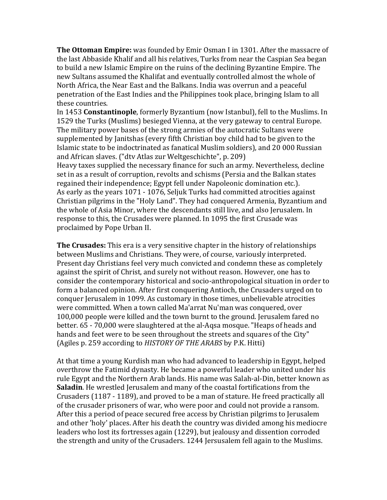**The Ottoman Empire:** was founded by Emir Osman I in 1301. After the massacre of the last Abbaside Khalif and all his relatives, Turks from near the Caspian Sea began to build a new Islamic Empire on the ruins of the declining Byzantine Empire. The new Sultans assumed the Khalifat and eventually controlled almost the whole of North Africa, the Near East and the Balkans. India was overrun and a peaceful penetration of the East Indies and the Philippines took place, bringing Islam to all these countries.

In 1453 **Constantinople**, formerly Byzantium (now Istanbul), fell to the Muslims. In 1529 the Turks (Muslims) besieged Vienna, at the very gateway to central Europe. The military power bases of the strong armies of the autocratic Sultans were supplemented by Janitshas (every fifth Christian boy child had to be given to the Islamic state to be indoctrinated as fanatical Muslim soldiers), and 20 000 Russian and African slaves. ("dtv Atlas zur Weltgeschichte", p. 209)

Heavy taxes supplied the necessary finance for such an army. Nevertheless, decline set in as a result of corruption, revolts and schisms (Persia and the Balkan states regained their independence; Egypt fell under Napoleonic domination etc.). As early as the years 1071 - 1076, Seljuk Turks had committed atrocities against Christian pilgrims in the "Holy Land". They had conquered Armenia, Byzantium and the whole of Asia Minor, where the descendants still live, and also Jerusalem. In response to this, the Crusades were planned. In 1095 the first Crusade was proclaimed by Pope Urban II.

**The Crusades:** This era is a very sensitive chapter in the history of relationships between Muslims and Christians. They were, of course, variously interpreted. Present day Christians feel very much convicted and condemn these as completely against the spirit of Christ, and surely not without reason. However, one has to consider the contemporary historical and socio-anthropological situation in order to form a balanced opinion. After first conquering Antioch, the Crusaders urged on to conquer Jerusalem in 1099. As customary in those times, unbelievable atrocities were committed. When a town called Ma'arrat Nu'man was conquered, over 100,000 people were killed and the town burnt to the ground. Ierusalem fared no better. 65 - 70,000 were slaughtered at the al-Aqsa mosque. "Heaps of heads and hands and feet were to be seen throughout the streets and squares of the City" (Agiles p. 259 according to *HISTORY OF THE ARABS* by P.K. Hitti)

At that time a young Kurdish man who had advanced to leadership in Egypt, helped overthrow the Fatimid dynasty. He became a powerful leader who united under his rule Egypt and the Northern Arab lands. His name was Salah-al-Din, better known as **Saladin**. He wrestled Jerusalem and many of the coastal fortifications from the Crusaders (1187 - 1189), and proved to be a man of stature. He freed practically all of the crusader prisoners of war, who were poor and could not provide a ransom. After this a period of peace secured free access by Christian pilgrims to Jerusalem and other 'holy' places. After his death the country was divided among his mediocre leaders who lost its fortresses again (1229), but jealousy and dissention corroded the strength and unity of the Crusaders. 1244 Jersusalem fell again to the Muslims.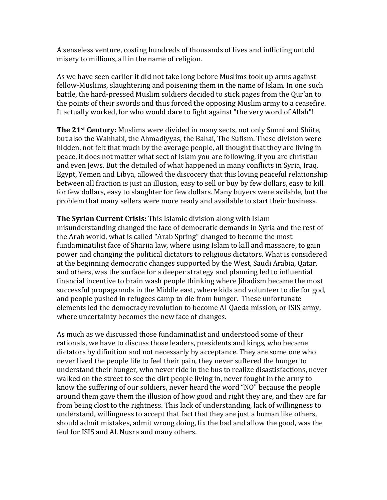A senseless venture, costing hundreds of thousands of lives and inflicting untold misery to millions, all in the name of religion.

As we have seen earlier it did not take long before Muslims took up arms against fellow-Muslims, slaughtering and poisening them in the name of Islam. In one such battle, the hard-pressed Muslim soldiers decided to stick pages from the Our'an to the points of their swords and thus forced the opposing Muslim army to a ceasefire. It actually worked, for who would dare to fight against "the very word of Allah"!

**The 21<sup>st</sup> Century:** Muslims were divided in many sects, not only Sunni and Shiite, but also the Wahhabi, the Ahmadiyyas, the Bahai, The Sufism. These division were hidden, not felt that much by the average people, all thought that they are living in peace, it does not matter what sect of Islam you are following, if you are christian and even Jews. But the detailed of what happened in many conflicts in Syria, Iraq, Egypt, Yemen and Libya, allowed the discocery that this loving peaceful relationship between all fraction is just an illusion, easy to sell or buy by few dollars, easy to kill for few dollars, easy to slaughter for few dollars. Many buyers were avilable, but the problem that many sellers were more ready and available to start their business.

**The Syrian Current Crisis:** This Islamic division along with Islam misunderstanding changed the face of democratic demands in Syria and the rest of the Arab world, what is called "Arab Spring" changed to become the most fundaminatilist face of Shariia law, where using Islam to kill and massacre, to gain power and changing the political dictators to religious dictators. What is considered at the beginning democratic changes supported by the West, Saudi Arabia, Qatar, and others, was the surface for a deeper strategy and planning led to influential financial incentive to brain wash people thinking where *Jihadism* became the most successful propagannda in the Middle east, where kids and volunteer to die for god, and people pushed in refugees camp to die from hunger. These unfortunate elements led the democracy revolution to become Al-Qaeda mission, or ISIS army, where uncertainty becomes the new face of changes.

As much as we discussed those fundaminatlist and understood some of their rationals, we have to discuss those leaders, presidents and kings, who became dictators by difinition and not necessarly by acceptance. They are some one who never lived the people life to feel their pain, they never suffered the hunger to understand their hunger, who never ride in the bus to realize disastisfactions, never walked on the street to see the dirt people living in, never fought in the army to know the suffering of our soldiers, never heard the word "NO" because the people around them gave them the illusion of how good and right they are, and they are far from being clost to the rightness. This lack of understanding, lack of willingness to understand, willingness to accept that fact that they are just a human like others, should admit mistakes, admit wrong doing, fix the bad and allow the good, was the feul for ISIS and Al. Nusra and many others.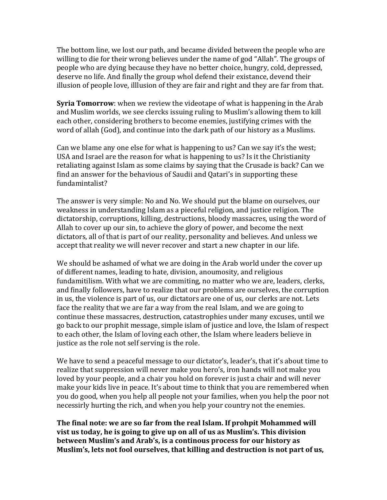The bottom line, we lost our path, and became divided between the people who are willing to die for their wrong believes under the name of god "Allah". The groups of people who are dying because they have no better choice, hungry, cold, depressed, deserve no life. And finally the group whol defend their existance, devend their illusion of people love, illlusion of they are fair and right and they are far from that.

**Syria Tomorrow**: when we review the videotape of what is happening in the Arab and Muslim worlds, we see clercks issuing ruling to Muslim's allowing them to kill each other, considering brothers to become enemies, justifying crimes with the word of allah (God), and continue into the dark path of our history as a Muslims.

Can we blame any one else for what is happening to us? Can we say it's the west; USA and Israel are the reason for what is happening to us? Is it the Christianity retaliating against Islam as some claims by saying that the Crusade is back? Can we find an answer for the behavious of Saudii and Qatari's in supporting these fundamintalist? 

The answer is very simple: No and No. We should put the blame on ourselves, our weakness in understanding Islam as a pieceful religion, and justice religion. The dictatorship, corruptions, killing, destructions, bloody massacres, using the word of Allah to cover up our sin, to achieve the glory of power, and become the next dictators, all of that is part of our reality, personality and believes. And unless we accept that reality we will never recover and start a new chapter in our life.

We should be ashamed of what we are doing in the Arab world under the cover up of different names, leading to hate, division, anoumosity, and religious fundamitilism. With what we are commiting, no matter who we are, leaders, clerks, and finally followers, have to realize that our problems are ourselves, the corruption in us, the violence is part of us, our dictators are one of us, our clerks are not. Lets face the reality that we are far a way from the real Islam, and we are going to continue these massacres, destruction, catastrophies under many excuses, until we go back to our prophit message, simple islam of justice and love, the Islam of respect to each other, the Islam of loving each other, the Islam where leaders believe in justice as the role not self serving is the role.

We have to send a peaceful message to our dictator's, leader's, that it's about time to realize that suppression will never make you hero's, iron hands will not make you loved by your people, and a chair you hold on forever is just a chair and will never make your kids live in peace. It's about time to think that you are remembered when you do good, when you help all people not your families, when you help the poor not necessirly hurting the rich, and when you help your country not the enemies.

**The final note: we are so far from the real Islam. If prohpit Mohammed will vist us today, he is going to give up on all of us as Muslim's. This division between Muslim's and Arab's, is a continous process for our history as** Muslim's, lets not fool ourselves, that killing and destruction is not part of us,